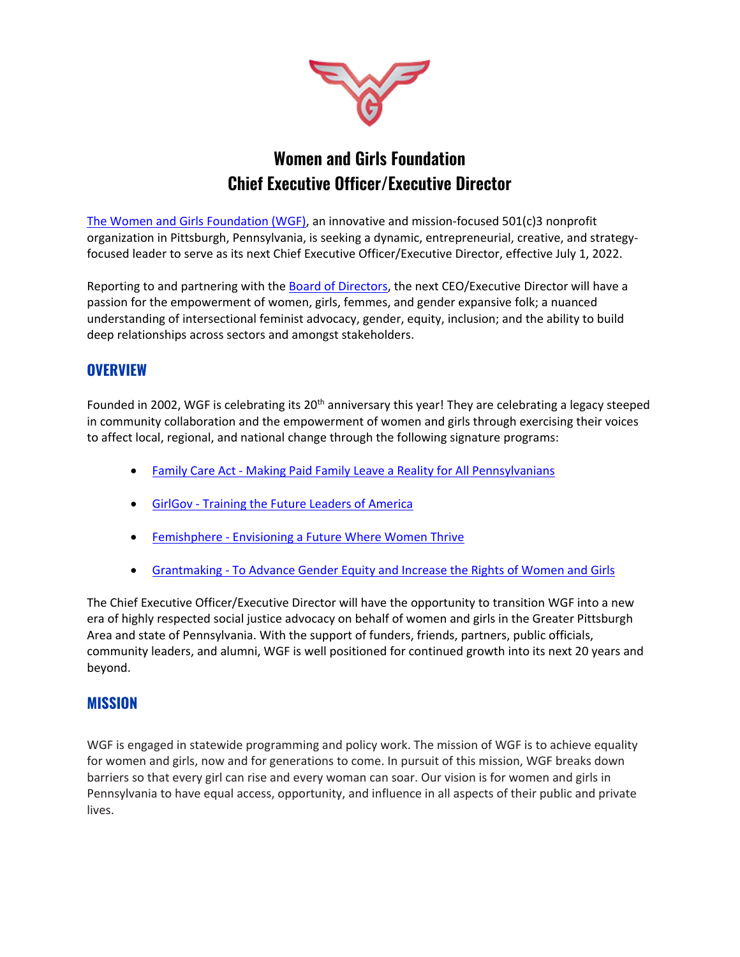

# **Women and Girls Foundation Chief Executive Officer/Executive Director**

[The Women and Girls Foundation \(WGF\),](https://wgfpa.org/) an innovative and mission-focused 501(c)3 nonprofit organization in Pittsburgh, Pennsylvania, is seeking a dynamic, entrepreneurial, creative, and strategyfocused leader to serve as its next Chief Executive Officer/Executive Director, effective July 1, 2022.

Reporting to and partnering with the [Board of Directors,](https://wgfpa.org/about/board/) the next CEO/Executive Director will have a passion for the empowerment of women, girls, femmes, and gender expansive folk; a nuanced understanding of intersectional feminist advocacy, gender, equity, inclusion; and the ability to build deep relationships across sectors and amongst stakeholders.

## **OVERVIEW**

Founded in 2002, WGF is celebrating its 20<sup>th</sup> anniversary this year! They are celebrating a legacy steeped in community collaboration and the empowerment of women and girls through exercising their voices to affect local, regional, and national change through the following signature programs:

- Family Care Act [Making Paid Family Leave a Reality for All Pennsylvanians](https://wgfpa.org/our-work/family-care-act/)
- GirlGov [Training the Future Leaders of America](https://wgfpa.org/our-work/girlgov/)
- Femishphere [Envisioning a Future Where Women Thrive](https://wgfpa.org/our-work/femisphere/)
- Grantmaking [To Advance Gender Equity and Increase the Rights of Women and Girls](https://wgfpa.org/our-work/grantmaking/)

The Chief Executive Officer/Executive Director will have the opportunity to transition WGF into a new era of highly respected social justice advocacy on behalf of women and girls in the Greater Pittsburgh Area and state of Pennsylvania. With the support of funders, friends, partners, public officials, community leaders, and alumni, WGF is well positioned for continued growth into its next 20 years and beyond.

### **MISSION**

WGF is engaged in statewide programming and policy work. The mission of WGF is to achieve equality for women and girls, now and for generations to come. In pursuit of this mission, WGF breaks down barriers so that every girl can rise and every woman can soar. Our vision is for women and girls in Pennsylvania to have equal access, opportunity, and influence in all aspects of their public and private lives.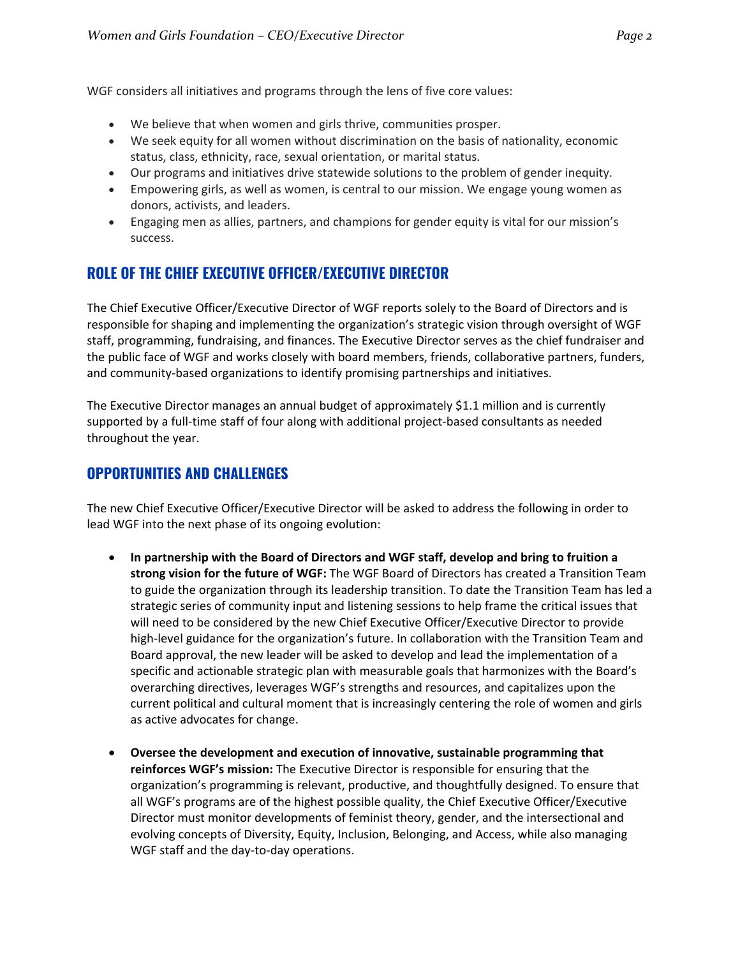WGF considers all initiatives and programs through the lens of five core values:

- We believe that when women and girls thrive, communities prosper.
- We seek equity for all women without discrimination on the basis of nationality, economic status, class, ethnicity, race, sexual orientation, or marital status.
- Our programs and initiatives drive statewide solutions to the problem of gender inequity.
- Empowering girls, as well as women, is central to our mission. We engage young women as donors, activists, and leaders.
- Engaging men as allies, partners, and champions for gender equity is vital for our mission's success.

# **ROLE OF THE CHIEF EXECUTIVE OFFICER/EXECUTIVE DIRECTOR**

The Chief Executive Officer/Executive Director of WGF reports solely to the Board of Directors and is responsible for shaping and implementing the organization's strategic vision through oversight of WGF staff, programming, fundraising, and finances. The Executive Director serves as the chief fundraiser and the public face of WGF and works closely with board members, friends, collaborative partners, funders, and community-based organizations to identify promising partnerships and initiatives.

The Executive Director manages an annual budget of approximately \$1.1 million and is currently supported by a full-time staff of four along with additional project-based consultants as needed throughout the year.

### **OPPORTUNITIES AND CHALLENGES**

The new Chief Executive Officer/Executive Director will be asked to address the following in order to lead WGF into the next phase of its ongoing evolution:

- **In partnership with the Board of Directors and WGF staff, develop and bring to fruition a strong vision for the future of WGF:** The WGF Board of Directors has created a Transition Team to guide the organization through its leadership transition. To date the Transition Team has led a strategic series of community input and listening sessions to help frame the critical issues that will need to be considered by the new Chief Executive Officer/Executive Director to provide high-level guidance for the organization's future. In collaboration with the Transition Team and Board approval, the new leader will be asked to develop and lead the implementation of a specific and actionable strategic plan with measurable goals that harmonizes with the Board's overarching directives, leverages WGF's strengths and resources, and capitalizes upon the current political and cultural moment that is increasingly centering the role of women and girls as active advocates for change.
- **Oversee the development and execution of innovative, sustainable programming that reinforces WGF's mission:** The Executive Director is responsible for ensuring that the organization's programming is relevant, productive, and thoughtfully designed. To ensure that all WGF's programs are of the highest possible quality, the Chief Executive Officer/Executive Director must monitor developments of feminist theory, gender, and the intersectional and evolving concepts of Diversity, Equity, Inclusion, Belonging, and Access, while also managing WGF staff and the day-to-day operations.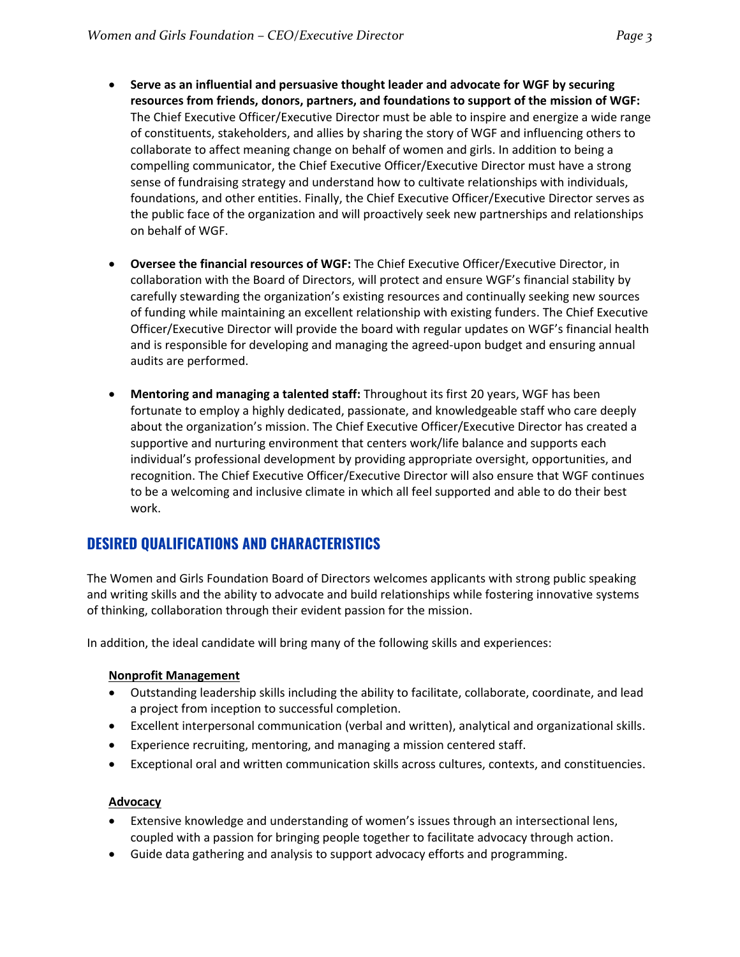- **Serve as an influential and persuasive thought leader and advocate for WGF by securing resources from friends, donors, partners, and foundations to support of the mission of WGF:** The Chief Executive Officer/Executive Director must be able to inspire and energize a wide range of constituents, stakeholders, and allies by sharing the story of WGF and influencing others to collaborate to affect meaning change on behalf of women and girls. In addition to being a compelling communicator, the Chief Executive Officer/Executive Director must have a strong sense of fundraising strategy and understand how to cultivate relationships with individuals, foundations, and other entities. Finally, the Chief Executive Officer/Executive Director serves as the public face of the organization and will proactively seek new partnerships and relationships on behalf of WGF.
- **Oversee the financial resources of WGF:** The Chief Executive Officer/Executive Director, in collaboration with the Board of Directors, will protect and ensure WGF's financial stability by carefully stewarding the organization's existing resources and continually seeking new sources of funding while maintaining an excellent relationship with existing funders. The Chief Executive Officer/Executive Director will provide the board with regular updates on WGF's financial health and is responsible for developing and managing the agreed-upon budget and ensuring annual audits are performed.
- **Mentoring and managing a talented staff:** Throughout its first 20 years, WGF has been fortunate to employ a highly dedicated, passionate, and knowledgeable staff who care deeply about the organization's mission. The Chief Executive Officer/Executive Director has created a supportive and nurturing environment that centers work/life balance and supports each individual's professional development by providing appropriate oversight, opportunities, and recognition. The Chief Executive Officer/Executive Director will also ensure that WGF continues to be a welcoming and inclusive climate in which all feel supported and able to do their best work.

# **DESIRED QUALIFICATIONS AND CHARACTERISTICS**

The Women and Girls Foundation Board of Directors welcomes applicants with strong public speaking and writing skills and the ability to advocate and build relationships while fostering innovative systems of thinking, collaboration through their evident passion for the mission.

In addition, the ideal candidate will bring many of the following skills and experiences:

#### **Nonprofit Management**

- Outstanding leadership skills including the ability to facilitate, collaborate, coordinate, and lead a project from inception to successful completion.
- Excellent interpersonal communication (verbal and written), analytical and organizational skills.
- Experience recruiting, mentoring, and managing a mission centered staff.
- Exceptional oral and written communication skills across cultures, contexts, and constituencies.

#### **Advocacy**

- Extensive knowledge and understanding of women's issues through an intersectional lens, coupled with a passion for bringing people together to facilitate advocacy through action.
- Guide data gathering and analysis to support advocacy efforts and programming.